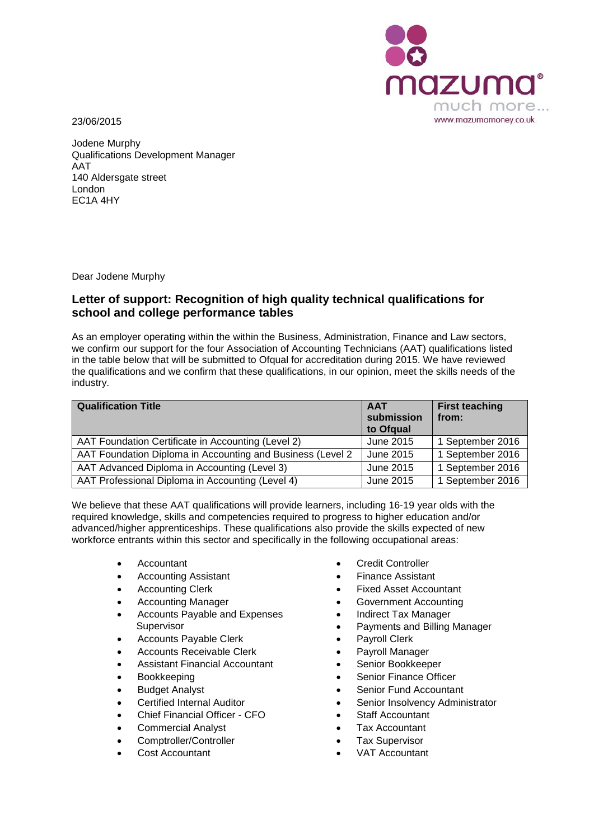



Jodene Murphy Qualifications Development Manager AAT 140 Aldersgate street London EC1A 4HY

Dear Jodene Murphy

## **Letter of support: Recognition of high quality technical qualifications for school and college performance tables**

As an employer operating within the within the Business, Administration, Finance and Law sectors, we confirm our support for the four Association of Accounting Technicians (AAT) qualifications listed in the table below that will be submitted to Ofqual for accreditation during 2015. We have reviewed the qualifications and we confirm that these qualifications, in our opinion, meet the skills needs of the industry.

| <b>Qualification Title</b>                                 | <b>AAT</b><br>submission<br>to Ofgual | <b>First teaching</b><br>from: |
|------------------------------------------------------------|---------------------------------------|--------------------------------|
| AAT Foundation Certificate in Accounting (Level 2)         | June 2015                             | 1 September 2016               |
| AAT Foundation Diploma in Accounting and Business (Level 2 | June 2015                             | 1 September 2016               |
| AAT Advanced Diploma in Accounting (Level 3)               | June 2015                             | 1 September 2016               |
| AAT Professional Diploma in Accounting (Level 4)           | June 2015                             | 1 September 2016               |

We believe that these AAT qualifications will provide learners, including 16-19 year olds with the required knowledge, skills and competencies required to progress to higher education and/or advanced/higher apprenticeships. These qualifications also provide the skills expected of new workforce entrants within this sector and specifically in the following occupational areas:

- 
- Accounting Assistant Finance Assistant
- 
- 
- Accounts Payable and Expenses Supervisor
- Accounts Payable Clerk Payroll Clerk
- 
- Accounts Receivable Clerk Payroll Manager<br>Assistant Financial Accountant Senior Bookkeeper Assistant Financial Accountant
- 
- 
- 
- Chief Financial Officer CFO Staff Accountant
- Commercial Analyst Tax Accountant
- Comptroller/Controller Tax Supervisor
- 
- Accountant Credit Controller
	-
- Accounting Clerk Fixed Asset Accountant
	- Accounting Manager **•** Government Accounting
		- Indirect Tax Manager
		- Payments and Billing Manager
		-
		-
		-
	- Bookkeeping Senior Finance Officer
	- **Budget Analyst Senior Fund Accountant**
	- Certified Internal Auditor Senior Insolvency Administrator
		-
		-
		-
	- **Cost Accountant** VAT Accountant